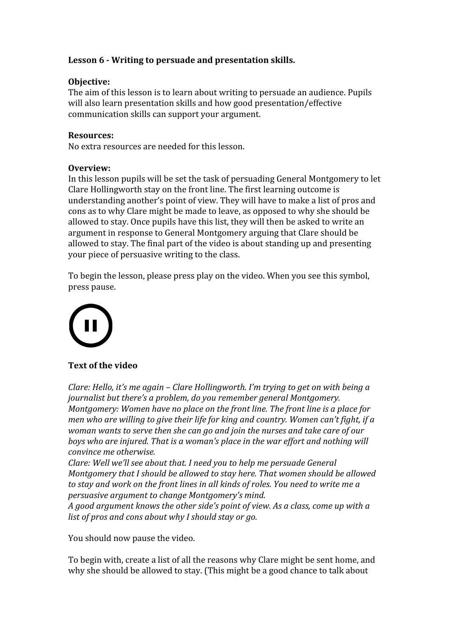# **Lesson 6 - Writing to persuade and presentation skills.**

# **Objective:**

The aim of this lesson is to learn about writing to persuade an audience. Pupils will also learn presentation skills and how good presentation/effective communication skills can support your argument.

#### **Resources:**

No extra resources are needed for this lesson.

#### **Overview:**

In this lesson pupils will be set the task of persuading General Montgomery to let Clare Hollingworth stay on the front line. The first learning outcome is understanding another's point of view. They will have to make a list of pros and cons as to why Clare might be made to leave, as opposed to why she should be allowed to stay. Once pupils have this list, they will then be asked to write an argument in response to General Montgomery arguing that Clare should be allowed to stay. The final part of the video is about standing up and presenting your piece of persuasive writing to the class.

To begin the lesson, please press play on the video. When you see this symbol, press pause.



# **Text of the video**

*Clare: Hello, it's me again – Clare Hollingworth. I'm trying to get on with being a journalist but there's a problem, do you remember general Montgomery. Montgomery: Women have no place on the front line. The front line is a place for men who are willing to give their life for king and country. Women can't fight, if a woman wants to serve then she can go and join the nurses and take care of our boys who are injured. That is a woman's place in the war effort and nothing will convince me otherwise.*

*Clare: Well we'll see about that. I need you to help me persuade General Montgomery that I should be allowed to stay here. That women should be allowed to stay and work on the front lines in all kinds of roles. You need to write me a persuasive argument to change Montgomery's mind.*

*A good argument knows the other side's point of view. As a class, come up with a list of pros and cons about why I should stay or go.*

You should now pause the video.

To begin with, create a list of all the reasons why Clare might be sent home, and why she should be allowed to stay. (This might be a good chance to talk about